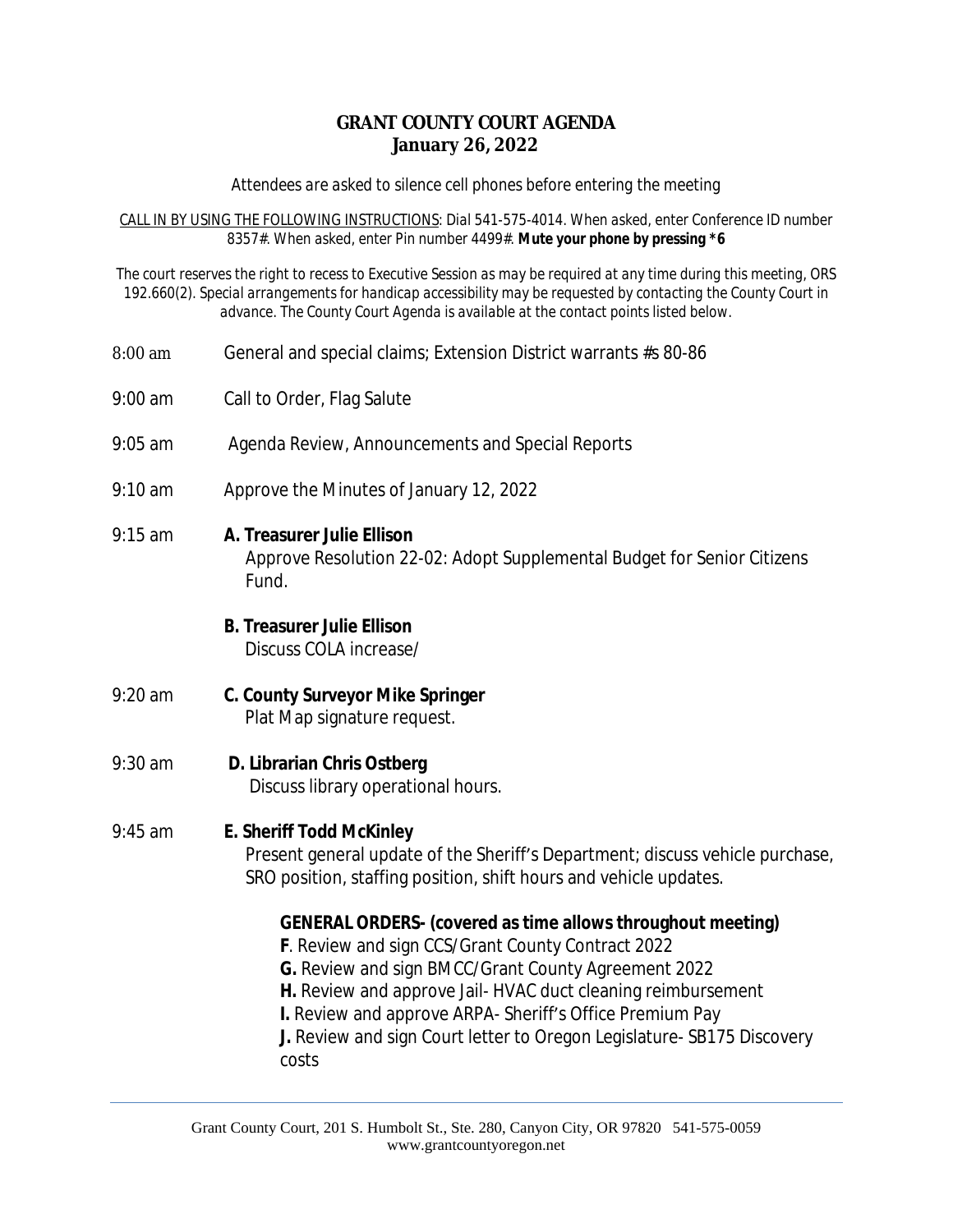### **GRANT COUNTY COURT AGENDA January 26, 2022**

*Attendees are asked to silence cell phones before entering the meeting*

*CALL IN BY USING THE FOLLOWING INSTRUCTIONS: Dial 541-575-4014. When asked, enter Conference ID number 8357#. When asked, enter Pin number 4499#. Mute your phone by pressing \*6*

*The court reserves the right to recess to Executive Session as may be required at any time during this meeting, ORS 192.660(2). Special arrangements for handicap accessibility may be requested by contacting the County Court in advance. The County Court Agenda is available at the contact points listed below.*

- 8:00 am General and special claims; Extension District warrants #s 80-86
- 9:00 am Call to Order, Flag Salute
- 9:05 am Agenda Review, Announcements and Special Reports
- 9:10 am Approve the Minutes of January 12, 2022
- 9:15 am **A. Treasurer Julie Ellison** Approve Resolution 22-02: Adopt Supplemental Budget for Senior Citizens Fund.

## **B. Treasurer Julie Ellison**

Discuss COLA increase/

9:20 am **C. County Surveyor Mike Springer** Plat Map signature request.

# 9:30 am **D. Librarian Chris Ostberg**

Discuss library operational hours.

## 9:45 am **E. Sheriff Todd McKinley**

Present general update of the Sheriff's Department; discuss vehicle purchase, SRO position, staffing position, shift hours and vehicle updates.

#### **GENERAL ORDERS- (covered as time allows throughout meeting)**

- **F**. Review and sign CCS/Grant County Contract 2022
- **G.** Review and sign BMCC/Grant County Agreement 2022
- **H.** Review and approve Jail- HVAC duct cleaning reimbursement
- **I.** Review and approve ARPA- Sheriff's Office Premium Pay

**J.** Review and sign Court letter to Oregon Legislature- SB175 Discovery costs